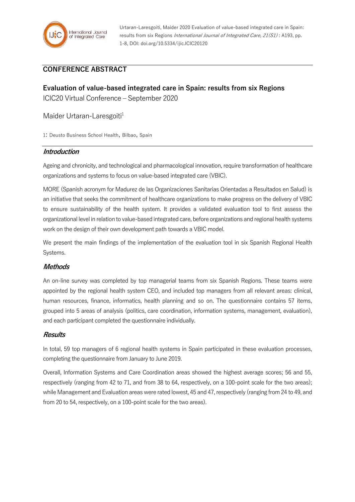

Urtaran-Laresgoiti, Maider 2020 Evaluation of value-based integrated care in Spain: results from six Regions International Journal of Integrated Care, 21(S1): A193, pp. 1-8, DOI: doi.org/10.5334/ijic.ICIC20120

# **CONFERENCE ABSTRACT**

**Evaluation of value-based integrated care in Spain: results from six Regions** ICIC20 Virtual Conference – September 2020

Maider Urtaran-Laresgoiti<sup>1</sup>

1: Deusto Business School Health, Bilbao, Spain

### **Introduction**

Ageing and chronicity, and technological and pharmacological innovation, require transformation of healthcare organizations and systems to focus on value-based integrated care (VBIC).

MORE (Spanish acronym for Madurez de las Organizaciones Sanitarias Orientadas a Resultados en Salud) is an initiative that seeks the commitment of healthcare organizations to make progress on the delivery of VBIC to ensure sustainability of the health system. It provides a validated evaluation tool to first assess the organizational level in relation to value-based integrated care, before organizations and regional health systems work on the design of their own development path towards a VBIC model.

We present the main findings of the implementation of the evaluation tool in six Spanish Regional Health Systems.

#### **Methods**

An on-line survey was completed by top managerial teams from six Spanish Regions. These teams were appointed by the regional health system CEO, and included top managers from all relevant areas: clinical, human resources, finance, informatics, health planning and so on. The questionnaire contains 57 items, grouped into 5 areas of analysis (politics, care coordination, information systems, management, evaluation), and each participant completed the questionnaire individually.

#### **Results**

In total, 59 top managers of 6 regional health systems in Spain participated in these evaluation processes, completing the questionnaire from January to June 2019.

Overall, Information Systems and Care Coordination areas showed the highest average scores; 56 and 55, respectively (ranging from 42 to 71, and from 38 to 64, respectively, on a 100-point scale for the two areas); while Management and Evaluation areas were rated lowest, 45 and 47, respectively (ranging from 24 to 49, and from 20 to 54, respectively, on a 100-point scale for the two areas).